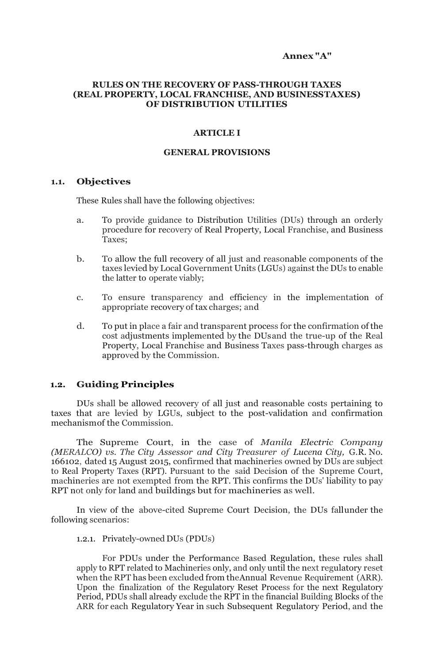#### **Annex "A"**

### **RULES ON THE RECOVERY OF PASS-THROUGH TAXES (REAL PROPERTY, LOCAL FRANCHISE, AND BUSINESSTAXES) OF DISTRIBUTION UTILITIES**

#### **ARTICLE I**

#### **GENERAL PROVISIONS**

#### **1.1. Objectives**

These Rules shall have the following objectives:

- a. To provide guidance to Distribution Utilities (DUs) through an orderly procedure for recovery of Real Property, Local Franchise, and Business Taxes;
- b. To allow the full recovery of all just and reasonable components of the taxes levied by Local Government Units (LGUs) against the DUs to enable the latter to operate viably;
- c. To ensure transparency and efficiency in the implementation of appropriate recovery of tax charges; and
- d. To put in place a fair and transparent process for the confirmation of the cost adjustments implemented by the DUsand the true-up of the Real Property, Local Franchise and Business Taxes pass-through charges as approved by the Commission.

### **1.2. Guiding Principles**

DUs shall be allowed recovery of all just and reasonable costs pertaining to taxes that are levied by LGUs, subject to the post-validation and confirmation mechanismof the Commission.

The Supreme Court, in the case of *Manila Electric Company (MERALCO) vs. The City Assessor and City Treasurer of Lucena City,* G.R. No. 166102, dated 15 August 2015, confirmed that machineries owned by DUs are subject to Real Property Taxes (RPT). Pursuant to the said Decision of the Supreme Court, machineries are not exempted from the RPT. This confirms the DUs' liability to pay RPT not only for land and buildings but for machineries as well.

In view of the above-cited Supreme Court Decision, the DUs fallunder the following scenarios:

### 1.2.1. Privately-owned DUs (PDUs)

For PDUs under the Performance Based Regulation, these rules shall apply to RPT related to Machineries only, and only until the next regulatory reset when the RPT has been excluded from theAnnual Revenue Requirement (ARR). Upon the finalization of the Regulatory Reset Process for the next Regulatory Period, PDUs shall already exclude the RPT in the financial Building Blocks of the ARR for each Regulatory Year in such Subsequent Regulatory Period, and the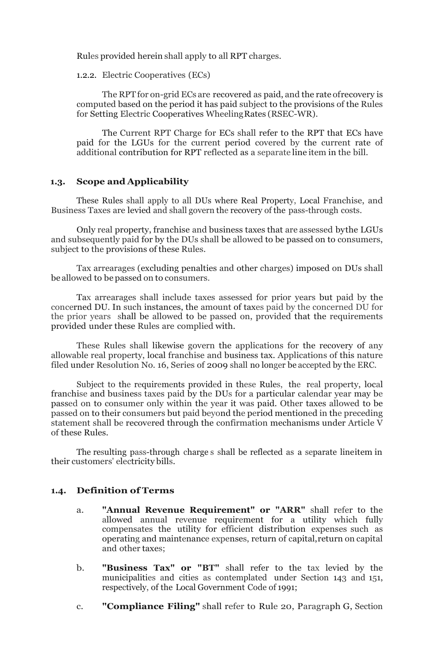Rules provided herein shall apply to all RPT charges.

1.2.2. Electric Cooperatives (ECs)

The RPT for on-grid ECs are recovered as paid, and the rate of recovery is computed based on the period it has paid subject to the provisions of the Rules for Setting Electric Cooperatives WheelingRates (RSEC-WR).

The Current RPT Charge for ECs shall refer to the RPT that ECs have paid for the LGUs for the current period covered by the current rate of additional contribution for RPT reflected as a separate line item in the bill.

### **1.3. Scope and Applicability**

These Rules shall apply to all DUs where Real Property, Local Franchise, and Business Taxes are levied and shall govern the recovery of the pass-through costs.

Only real property, franchise and business taxes that are assessed bythe LGUs and subsequently paid for by the DUs shall be allowed to be passed on to consumers, subject to the provisions of these Rules.

Tax arrearages (excluding penalties and other charges) imposed on DUs shall be allowed to be passed on to consumers.

Tax arrearages shall include taxes assessed for prior years but paid by the concerned DU. In such instances, the amount of taxes paid by the concerned DU for the prior years shall be allowed to be passed on, provided that the requirements provided under these Rules are complied with.

These Rules shall likewise govern the applications for the recovery of any allowable real property, local franchise and business tax. Applications of this nature filed under Resolution No. 16, Series of 2009 shall no longer be accepted by the ERC.

Subject to the requirements provided in these Rules, the real property, local franchise and business taxes paid by the DUs for a particular calendar year may be passed on to consumer only within the year it was paid. Other taxes allowed to be passed on to their consumers but paid beyond the period mentioned in the preceding statement shall be recovered through the confirmation mechanisms under Article V of these Rules.

The resulting pass-through charge s shall be reflected as a separate lineitem in their customers' electricity bills.

## **1.4. Definition of Terms**

- a. **"Annual Revenue Requirement" or "ARR"** shall refer to the allowed annual revenue requirement for a utility which fully compensates the utility for efficient distribution expenses such as operating and maintenance expenses, return of capital,return on capital and other taxes;
- b. **"Business Tax" or "BT"** shall refer to the tax levied by the municipalities and cities as contemplated under Section 143 and 151, respectively, of the Local Government Code of 1991;
- c. **"Compliance Filing"** shall refer to Rule 20, Paragraph G, Section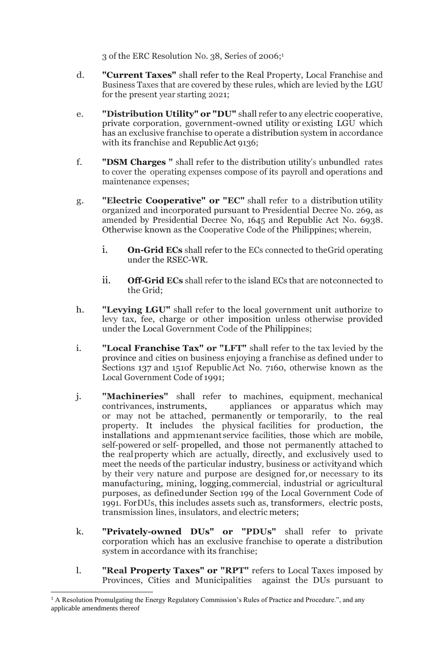3 of the ERC Resolution No. 38, Series of 2006;<sup>1</sup>

- d. **"Current Taxes"** shall refer to the Real Property, Local Franchise and Business Taxes that are covered by these rules, which are levied by the LGU for the present year starting 2021;
- e. **"Distribution Utility" or "DU"** shall refer to any electric cooperative, private corporation, government-owned utility or existing LGU which has an exclusive franchise to operate a distribution system in accordance with its franchise and RepublicAct 9136;
- f. **"DSM Charges "** shall refer to the distribution utility's unbundled rates to cover the operating expenses compose of its payroll and operations and maintenance expenses;
- g. **"Electric Cooperative" or "EC"** shall refer to a distribution utility organized and incorporated pursuant to Presidential Decree No. 269, as amended by Presidential Decree No, 1645 and Republic Act No. 6938. Otherwise known as the Cooperative Code of the Philippines; wherein,
	- i. **On-Grid ECs** shall refer to the ECs connected to theGrid operating under the RSEC-WR.
	- ii. **Off-Grid ECs** shall refer to the island ECs that are notconnected to the Grid;
- h. **"Levying LGU"** shall refer to the local government unit authorize to levy tax, fee, charge or other imposition unless otherwise provided under the Local Government Code of the Philippines;
- i. **"Local Franchise Tax" or "LFT"** shall refer to the tax levied by the province and cities on business enjoying a franchise as defined under to Sections 137 and 151of RepublicAct No. 7160, otherwise known as the Local Government Code of 1991;
- j. **"Machineries"** shall refer to machines, equipment, mechanical contrivances, instruments, appliances or apparatus which may or may not be attached, permanently or temporarily, to the real property. It includes the physical facilities for production, the installations and appm1enant service facilities, those which are mobile, self-powered or self- propelled, and those not permanently attached to the realproperty which are actually, directly, and exclusively used to meet the needs of the particular industry, business or activityand which by their very nature and purpose are designed for,or necessary to its manufacturing, mining, logging,commercial, industrial or agricultural purposes, as definedunder Section 199 of the Local Government Code of 1991. ForDUs, this includes assets such as, transformers, electric posts, transmission lines, insulators, and electric meters;
- k. **"Privately-owned DUs" or "PDUs"** shall refer to private corporation which has an exclusive franchise to operate a distribution system in accordance with its franchise;
- l. **"Real Property Taxes" or "RPT"** refers to Local Taxes imposed by Provinces, Cities and Municipalities against the DUs pursuant to

<sup>&</sup>lt;sup>1</sup> A Resolution Promulgating the Energy Regulatory Commission's Rules of Practice and Procedure.", and any applicable amendments thereof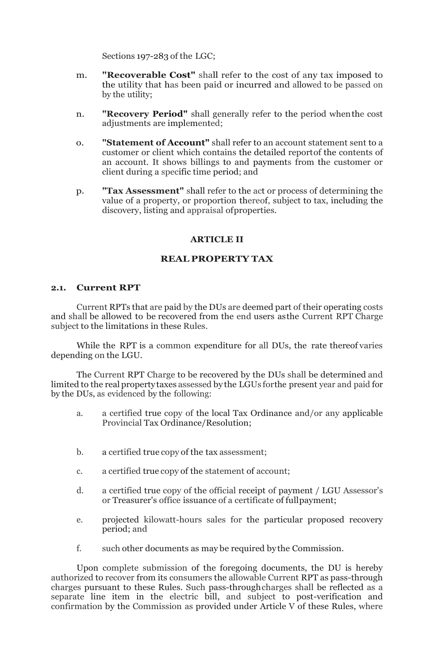Sections 197-283 of the LGC;

- m. **"Recoverable Cost"** shall refer to the cost of any tax imposed to the utility that has been paid or incurred and allowed to be passed on by the utility;
- n. **"Recovery Period"** shall generally refer to the period whenthe cost adjustments are implemented;
- o. **"Statement of Account"** shall refer to an account statement sent to a customer or client which contains the detailed reportof the contents of an account. It shows billings to and payments from the customer or client during a specific time period; and
- p. **"Tax Assessment"** shall refer to the act or process of determining the value of a property, or proportion thereof, subject to tax, including the discovery, listing and appraisal ofproperties.

## **ARTICLE II**

## **REAL PROPERTY TAX**

## **2.1. Current RPT**

Current RPTs that are paid by the DUs are deemed part of their operating costs and shall be allowed to be recovered from the end users asthe Current RPT Charge subject to the limitations in these Rules.

While the RPT is a common expenditure for all DUs, the rate thereof varies depending on the LGU.

The Current RPT Charge to be recovered by the DUs shall be determined and limited to the real propertytaxes assessed by the LGUs forthe present year and paid for by the DUs, as evidenced by the following:

- a. a certified true copy of the local Tax Ordinance and/or any applicable Provincial Tax Ordinance/Resolution;
- b. a certified true copy of the tax assessment;
- c. a certified true copy of the statement of account;
- d. a certified true copy of the official receipt of payment / LGU Assessor's or Treasurer's office issuance of a certificate of fullpayment;
- e. projected kilowatt-hours sales for the particular proposed recovery period; and
- f. such other documents as may be required bythe Commission.

Upon complete submission of the foregoing documents, the DU is hereby authorized to recover from its consumers the allowable Current RPT as pass-through charges pursuant to these Rules. Such pass-throughcharges shall be reflected as a separate line item in the electric bill, and subject to post-verification and confirmation by the Commission as provided under Article V of these Rules, where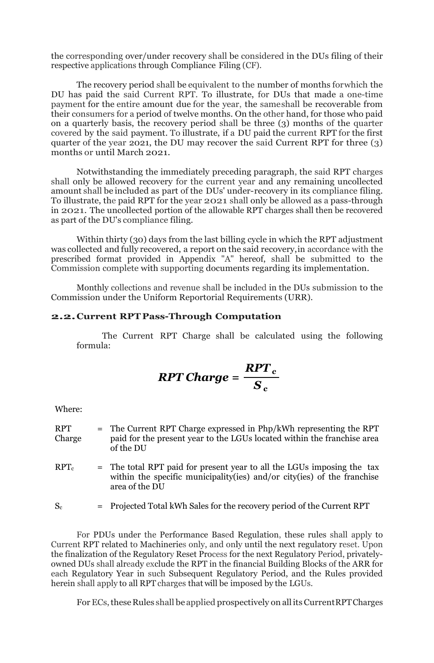the corresponding over/under recovery shall be considered in the DUs filing of their respective applications through Compliance Filing (CF).

The recovery period shall be equivalent to the number of months forwhich the DU has paid the said Current RPT. To illustrate, for DUs that made a one-time payment for the entire amount due for the year, the sameshall be recoverable from their consumers for a period of twelve months. On the other hand, for those who paid on a quarterly basis, the recovery period shall be three (3) months of the quarter covered by the said payment. To illustrate, if a DU paid the current RPT for the first quarter of the year 2021, the DU may recover the said Current RPT for three (3) months or until March 2021.

Notwithstanding the immediately preceding paragraph, the said RPT charges shall only be allowed recovery for the current year and any remaining uncollected amount shall be included as part of the DUs' under-recovery in its compliance filing. To illustrate, the paid RPT for the year 2021 shall only be allowed as a pass-through in 2021. The uncollected portion of the allowable RPT charges shall then be recovered as part of the DU's compliance filing.

Within thirty (30) days from the last billing cycle in which the RPT adjustment was collected and fully recovered, a report on the said recovery,in accordance with the prescribed format provided in Appendix "A" hereof, shall be submitted to the Commission complete with supporting documents regarding its implementation.

Monthly collections and revenue shall be included in the DUs submission to the Commission under the Uniform Reportorial Requirements (URR).

#### **2.2.Current RPT Pass-Through Computation**

The Current RPT Charge shall be calculated using the following formula:

$$
RPT Charge = \frac{RPT_c}{S_c}
$$

Where:

| <b>RPT</b><br>Charge | = The Current RPT Charge expressed in Php/kWh representing the RPT<br>paid for the present year to the LGUs located within the franchise area<br>of the DU            |
|----------------------|-----------------------------------------------------------------------------------------------------------------------------------------------------------------------|
| $RPT_c$              | = The total RPT paid for present year to all the LGUs imposing the tax<br>within the specific municipality (ies) and/or city (ies) of the franchise<br>area of the DU |
| $S_c$                | = Projected Total kWh Sales for the recovery period of the Current RPT                                                                                                |

For PDUs under the Performance Based Regulation, these rules shall apply to Current RPT related to Machineries only, and only until the next regulatory reset. Upon the finalization of the Regulatory Reset Process for the next Regulatory Period, privatelyowned DUs shall already exclude the RPT in the financial Building Blocks of the ARR for each Regulatory Year in such Subsequent Regulatory Period, and the Rules provided herein shall apply to all RPT charges that will be imposed by the LGUs.

For ECs, these Rules shall be applied prospectively on all its Current RPT Charges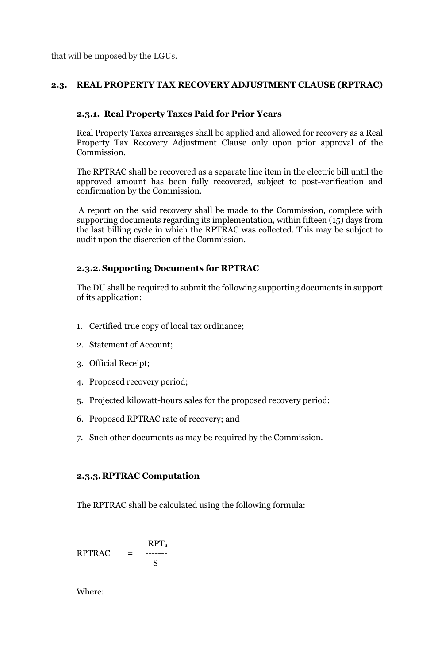that will be imposed by the LGUs.

## **2.3. REAL PROPERTY TAX RECOVERY ADJUSTMENT CLAUSE (RPTRAC)**

## **2.3.1. Real Property Taxes Paid for Prior Years**

Real Property Taxes arrearages shall be applied and allowed for recovery as a Real Property Tax Recovery Adjustment Clause only upon prior approval of the Commission.

The RPTRAC shall be recovered as a separate line item in the electric bill until the approved amount has been fully recovered, subject to post-verification and confirmation by the Commission.

A report on the said recovery shall be made to the Commission, complete with supporting documents regarding its implementation, within fifteen (15) days from the last billing cycle in which the RPTRAC was collected. This may be subject to audit upon the discretion of the Commission.

## **2.3.2.Supporting Documents for RPTRAC**

The DU shall be required to submit the following supporting documents in support of its application:

- 1. Certified true copy of local tax ordinance;
- 2. Statement of Account;
- 3. Official Receipt;
- 4. Proposed recovery period;
- 5. Projected kilowatt-hours sales for the proposed recovery period;
- 6. Proposed RPTRAC rate of recovery; and
- 7. Such other documents as may be required by the Commission.

## **2.3.3.RPTRAC Computation**

The RPTRAC shall be calculated using the following formula:

$$
RPTRAC = \begin{array}{c} RPT_a \\ = - \text{---} \\ S \end{array}
$$

Where: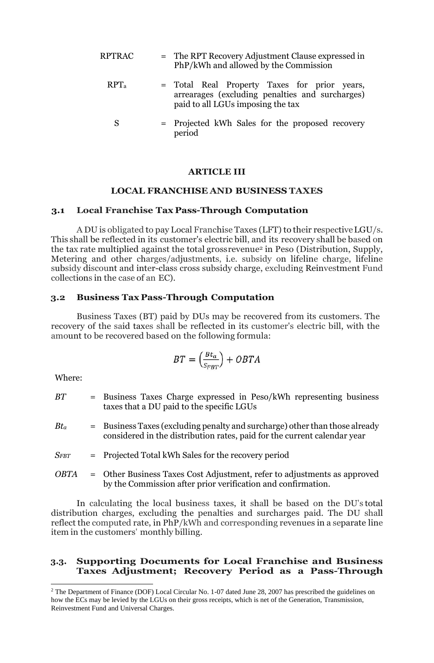RPTRAC

\n= The RPT Recovery Adjustment Clause expressed in 
$$
PhP/kWh
$$
 and allowed by the Commission

\nRPTa

\n= Total Real Property Taxes for prior years,   
\narrearages (excluding penalties and surcharges) paid to all LGUs imposing the tax

\nS

\n= Projected kWh Sales for the proposed recovery

S = Projected kWh Sales for the proposed recovery period

#### **ARTICLE III**

### **LOCAL FRANCHISE AND BUSINESS TAXES**

#### **3.1 Local Franchise Tax Pass-Through Computation**

A DU is obligated to pay Local Franchise Taxes (LFT) to their respectiveLGU/s. This shall be reflected in its customer's electric bill, and its recovery shall be based on the tax rate multiplied against the total grossrevenue<sup>2</sup> in Peso (Distribution, Supply, Metering and other charges/adjustments, i.e. subsidy on lifeline charge, lifeline subsidy discount and inter-class cross subsidy charge, excluding Reinvestment Fund collections in the case of an EC).

## **3.2 Business Tax Pass-Through Computation**

Business Taxes (BT) paid by DUs may be recovered from its customers. The recovery of the said taxes shall be reflected in its customer's electric bill, with the amount to be recovered based on the following formula:

$$
BT = \left(\frac{Bt_a}{S_{FBT}}\right) + OBTA
$$

Where:

| -RT         | = Business Taxes Charge expressed in Peso/kWh representing business<br>taxes that a DU paid to the specific LGUs                                        |
|-------------|---------------------------------------------------------------------------------------------------------------------------------------------------------|
| $Bt_a$      | = Business Taxes (excluding penalty and surcharge) other than those already<br>considered in the distribution rates, paid for the current calendar year |
| $S_{FBT}$   | = Projected Total kWh Sales for the recovery period                                                                                                     |
| <b>OBTA</b> | - Other Business Taxes Cost Adjustment, refer to adjustments as approved<br>by the Commission after prior verification and confirmation.                |

In calculating the local business taxes, it shall be based on the DU's total distribution charges, excluding the penalties and surcharges paid. The DU shall reflect the computed rate, in PhP/kWh and corresponding revenues in a separate line item in the customers' monthly billing.

### **3.3. Supporting Documents for Local Franchise and Business Taxes Adjustment; Recovery Period as a Pass-Through**

<sup>&</sup>lt;sup>2</sup> The Department of Finance (DOF) Local Circular No. 1-07 dated June 28, 2007 has prescribed the guidelines on how the ECs may be levied by the LGUs on their gross receipts, which is net of the Generation, Transmission, Reinvestment Fund and Universal Charges.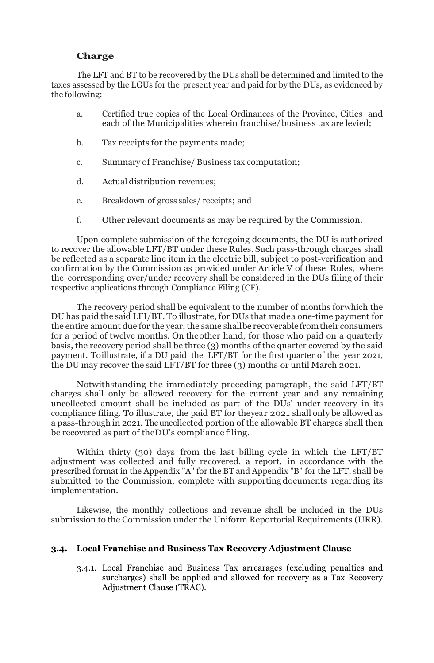## **Charge**

The LFT and BT to be recovered by the DUs shall be determined and limited to the taxes assessed by the LGUs for the present year and paid for by the DUs, as evidenced by the following:

- a. Certified true copies of the Local Ordinances of the Province, Cities and each of the Municipalities wherein franchise/business tax are levied;
- b. Tax receipts for the payments made;
- c. Summary of Franchise/ Business tax computation;
- d. Actual distribution revenues;
- e. Breakdown of gross sales/ receipts; and
- f. Other relevant documents as may be required by the Commission.

Upon complete submission of the foregoing documents, the DU is authorized to recover the allowable LFT/BT under these Rules. Such pass-through charges shall be reflected as a separate line item in the electric bill, subject to post-verification and confirmation by the Commission as provided under Article V of these Rules, where the corresponding over/under recovery shall be considered in the DUs filing of their respective applications through Compliance Filing (CF).

The recovery period shall be equivalent to the number of months forwhich the DU has paid the said LFI/BT. To illustrate, for DUs that madea one-time payment for the entire amount due for the year, the same shallbe recoverablefromtheir consumers for a period of twelve months. On theother hand, for those who paid on a quarterly basis, the recovery period shall be three (3) months of the quarter covered by the said payment. Toillustrate, if a DU paid the LFT/BT for the first quarter of the year 2021, the DU may recover the said LFT/BT for three (3) months or until March 2021.

Notwithstanding the immediately preceding paragraph, the said LFT/BT charges shall only be allowed recovery for the current year and any remaining uncollected amount shall be included as part of the DUs' under-recovery in its compliance filing. To illustrate, the paid BT for theyear 2021 shall only be allowed as a pass-through in 2021.The uncollected portion of the allowable BT charges shall then be recovered as part of theDU's compliance filing.

Within thirty (30) days from the last billing cycle in which the LFT/BT adjustment was collected and fully recovered, a report, in accordance with the prescribed format in the Appendix "A" for the BT and Appendix "B" for the LFT, shall be submitted to the Commission, complete with supporting documents regarding its implementation.

Likewise, the monthly collections and revenue shall be included in the DUs submission to the Commission under the Uniform Reportorial Requirements (URR).

## **3.4. Local Franchise and Business Tax Recovery Adjustment Clause**

3.4.1. Local Franchise and Business Tax arrearages (excluding penalties and surcharges) shall be applied and allowed for recovery as a Tax Recovery Adjustment Clause (TRAC).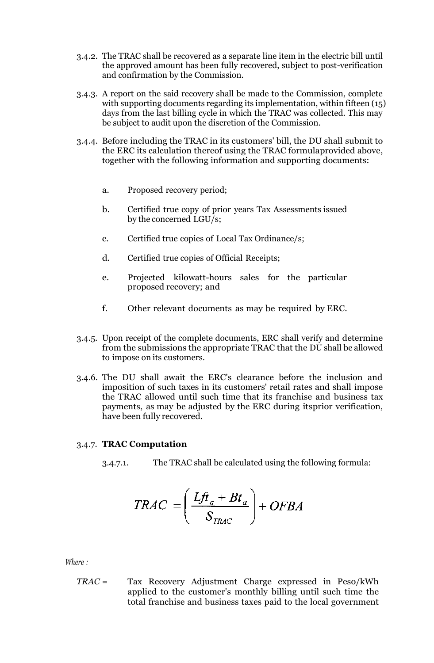- 3.4.2. The TRAC shall be recovered as a separate line item in the electric bill until the approved amount has been fully recovered, subject to post-verification and confirmation by the Commission.
- 3.4.3. A report on the said recovery shall be made to the Commission, complete with supporting documents regarding its implementation, within fifteen (15) days from the last billing cycle in which the TRAC was collected. This may be subject to audit upon the discretion of the Commission.
- 3.4.4. Before including the TRAC in its customers' bill, the DU shall submit to the ERC its calculation thereof using the TRAC formulaprovided above, together with the following information and supporting documents:
	- a. Proposed recovery period;
	- b. Certified true copy of prior years Tax Assessments issued by the concerned LGU/s;
	- c. Certified true copies of Local Tax Ordinance/s;
	- d. Certified true copies of Official Receipts;
	- e. Projected kilowatt-hours sales for the particular proposed recovery; and
	- f. Other relevant documents as may be required by ERC.
- 3.4.5. Upon receipt of the complete documents, ERC shall verify and determine from the submissions the appropriate TRAC that the DU shall be allowed to impose on its customers.
- 3.4.6. The DU shall await the ERC's clearance before the inclusion and imposition of such taxes in its customers' retail rates and shall impose the TRAC allowed until such time that its franchise and business tax payments, as may be adjusted by the ERC during itsprior verification, have been fully recovered.

## 3.4.7. **TRAC Computation**

3.4.7.1. The TRAC shall be calculated using the following formula:

$$
TRAC = \left(\frac{Lf t_a + B t_a}{S_{TRAC}}\right) + OFBA
$$

*Where :*

*TRAC* = Tax Recovery Adjustment Charge expressed in Peso/kWh applied to the customer's monthly billing until such time the total franchise and business taxes paid to the local government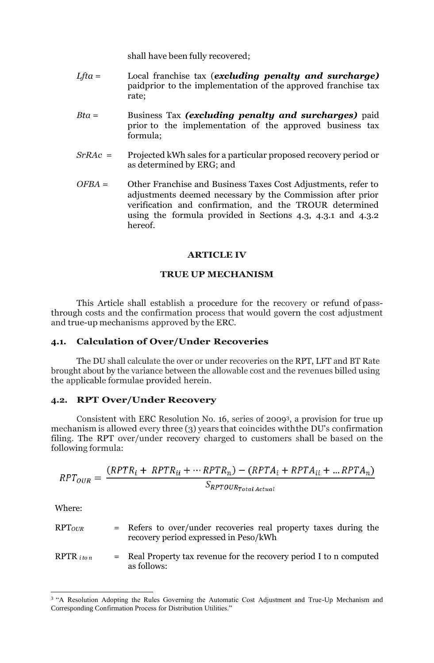shall have been fully recovered;

- *Lfta* = Local franchise tax (*excluding penalty and surcharge)* paidprior to the implementation of the approved franchise tax rate;
- *Bta* = Business Tax *(excluding penalty and surcharges)* paid prior to the implementation of the approved business tax formula;
- *SrRAc* = Projected kWh sales for a particular proposed recovery period or as determined by ERG; and
- *OFBA* = Other Franchise and Business Taxes Cost Adjustments, refer to adjustments deemed necessary by the Commission after prior verification and confirmation, and the TROUR determined using the formula provided in Sections 4.3, 4.3.1 and 4.3.2 hereof.

## **ARTICLE IV**

### **TRUE UP MECHANISM**

This Article shall establish a procedure for the recovery or refund of passthrough costs and the confirmation process that would govern the cost adjustment and true-up mechanisms approved by the ERC.

## **4.1. Calculation of Over/Under Recoveries**

The DU shall calculate the over or under recoveries on the RPT, LFT and BT Rate brought about by the variance between the allowable cost and the revenues billed using the applicable formulae provided herein.

## **4.2. RPT Over/Under Recovery**

Consistent with ERC Resolution No. 16, series of 20093, a provision for true up mechanism is allowed every three (3) years that coincides withthe DU's confirmation filing. The RPT over/under recovery charged to customers shall be based on the following formula:

$$
RPT_{OUR} = \frac{(RPTR_i + RPTR_{ii} + \cdots RPTR_n) - (RPTA_i + RPTA_{ii} + \dots RPTA_n)}{S_{RPTOUR_{TotalActual}}}
$$

Where:

| RPT <sub>OUR</sub>   | = Refers to over/under recoveries real property taxes during the<br>recovery period expressed in Peso/kWh |
|----------------------|-----------------------------------------------------------------------------------------------------------|
| $RPTR$ <i>i</i> to n | $=$ Real Property tax revenue for the recovery period I to n computed<br>as follows:                      |

<sup>&</sup>lt;sup>3</sup> "A Resolution Adopting the Rules Governing the Automatic Cost Adjustment and True-Up Mechanism and Corresponding Confirmation Process for Distribution Utilities."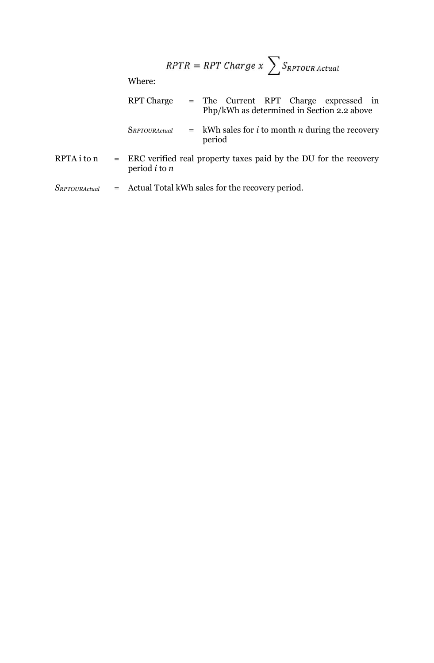$$
RPTR = RPT \; Charge \; x \; \sum S_{RPTOUR \; Actual}
$$

Where:

| <b>RPT Charge</b>    | = The Current RPT Charge expressed in<br>Php/kWh as determined in Section 2.2 above |
|----------------------|-------------------------------------------------------------------------------------|
| <b>SRPTOURActual</b> | $=$ kWh sales for <i>i</i> to month <i>n</i> during the recovery<br>period          |
| $\sim$ $\sim$        | $\cdots$                                                                            |

RPTA i to  $n =$  ERC verified real property taxes paid by the DU for the recovery period *i* to *n*

*SRPTOURActual* = Actual Total kWh sales for the recovery period.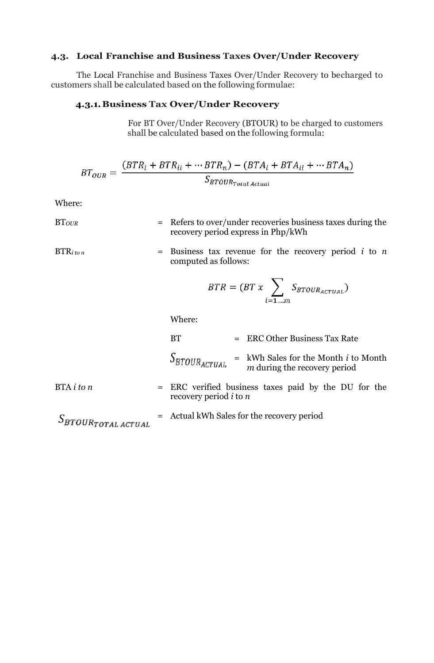## **4.3. Local Franchise and Business Taxes Over/Under Recovery**

The Local Franchise and Business Taxes Over/Under Recovery to becharged to customers shall be calculated based on the following formulae:

### **4.3.1.Business Tax Over/Under Recovery**

For BT Over/Under Recovery (BTOUR) to be charged to customers shall be calculated based on the following formula:

$$
BT_{OUR} = \frac{(BTR_i + BTR_{ii} + \cdots BTR_n) - (BTA_i + BTA_{ii} + \cdots BTA_n)}{S_{BTOUR_{Total Actual}}}
$$

Where:

BT*OUR* = Refers to over/under recoveries business taxes during the recovery period express in Php/kWh

 $BTR<sub>i</sub>$ *to n* = Business tax revenue for the recovery period *i* to *n* computed as follows:

$$
BTR = (BT \times \sum_{i=1\ldots m} S_{BTOUR_{ACTUAL}})
$$

Where:

|                             |  | BT                                           |  | = ERC Other Business Tax Rate                                                        |
|-----------------------------|--|----------------------------------------------|--|--------------------------------------------------------------------------------------|
|                             |  | $S_{BTOUR_{ACTUAL}}$ =                       |  | $=$ kWh Sales for the Month <i>i</i> to Month<br><i>m</i> during the recovery period |
| BTA <i>i</i> to <i>n</i>    |  | recovery period $i$ to $n$                   |  | = ERC verified business taxes paid by the DU for the                                 |
| $S_{BTOUR_{TOTAL}$ $ACTUAL$ |  | $=$ Actual kWh Sales for the recovery period |  |                                                                                      |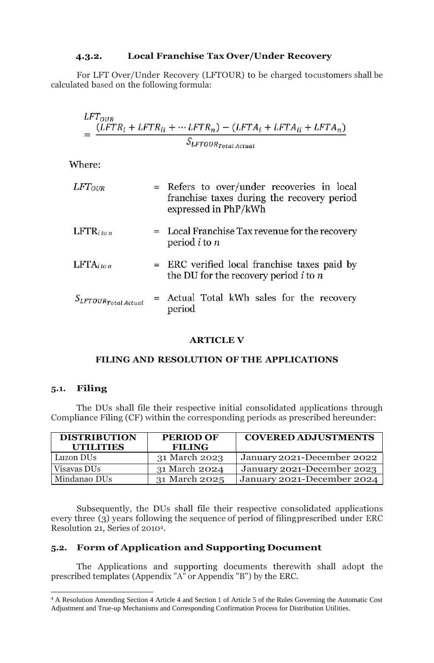## **4.3.2. Local Franchise Tax Over/Under Recovery**

For LFT Over/Under Recovery (LFTOUR) to be charged tocustomers shall be calculated based on the following formula:

$$
LFT_{OUR}
$$
  
= 
$$
\frac{(LFTR_i + LFTR_{ii} + \cdots LFTR_n) - (LFTA_i + LFTA_{ii} + LFTA_n)}{S_{LFTOUR_{total}}}
$$

Where:

| $LFT_{OUR}$                 | = Refers to over/under recoveries in local<br>franchise taxes during the recovery period<br>expressed in PhP/kWh |  |  |  |  |
|-----------------------------|------------------------------------------------------------------------------------------------------------------|--|--|--|--|
| $LFTR_{i\text{ to }n}$      | $=$ Local Franchise Tax revenue for the recovery<br>period $i$ to $n$                                            |  |  |  |  |
| $LFTA$ iton                 | = ERC verified local franchise taxes paid by<br>the DU for the recovery period $i$ to $n$                        |  |  |  |  |
| $S_{LFTOUR_{Total\,Actual}$ | = Actual Total kWh sales for the recovery<br>period                                                              |  |  |  |  |

## **ARTICLE V**

## **FILING AND RESOLUTION OF THE APPLICATIONS**

## **5.1. Filing**

The DUs shall file their respective initial consolidated applications through Compliance Filing (CF) within the corresponding periods as prescribed hereunder:

| <b>DISTRIBUTION</b><br><b>UTILITIES</b> | <b>PERIOD OF</b><br><b>FILING</b> | <b>COVERED ADJUSTMENTS</b> |
|-----------------------------------------|-----------------------------------|----------------------------|
| Luzon DU <sub>s</sub>                   | 31 March 2023                     | January 2021-December 2022 |
| Visavas DU <sub>s</sub>                 | 31 March 2024                     | January 2021-December 2023 |
| Mindanao DUs                            | 31 March 2025                     | January 2021-December 2024 |

Subsequently, the DUs shall file their respective consolidated applications every three (3) years following the sequence of period of filingprescribed under ERC Resolution 21, Series of 20104.

# **5.2. Form of Application and Supporting Document**

The Applications and supporting documents therewith shall adopt the prescribed templates (Appendix "A" or Appendix "B") by the ERC.

<sup>4</sup> A Resolution Amending Section 4 Article 4 and Section 1 of Article 5 of the Rules Governing the Automatic Cost Adjustment and True-up Mechanisms and Corresponding Confirmation Process for Distribution Utilities.